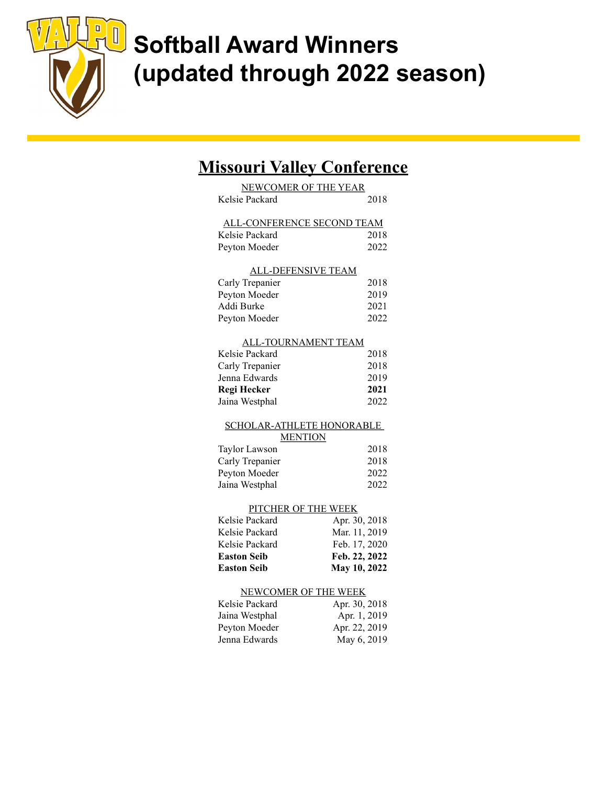

### Missouri Valley Conference

| <b>NEWCOMER OF THE YEAR</b>            |                               |  |
|----------------------------------------|-------------------------------|--|
| Kelsie Packard                         | 2018                          |  |
|                                        |                               |  |
| ALL-CONFERENCE SECOND TEAM             |                               |  |
| Kelsie Packard                         | 2018                          |  |
| Peyton Moeder                          | 2022                          |  |
|                                        |                               |  |
| <b>ALL-DEFENSIVE TEAM</b>              |                               |  |
| Carly Trepanier                        | 2018                          |  |
| Peyton Moeder                          | 2019                          |  |
| Addi Burke                             | 2021                          |  |
| Peyton Moeder                          | 2022                          |  |
|                                        |                               |  |
| ALL-TOURNAMENT TEAM                    |                               |  |
| Kelsie Packard                         | 2018                          |  |
| Carly Trepanier                        | 2018                          |  |
| Jenna Edwards                          | 2019                          |  |
| <b>Regi Hecker</b>                     | 2021                          |  |
| Jaina Westphal                         | 2022                          |  |
|                                        |                               |  |
|                                        |                               |  |
| <b>SCHOLAR-ATHLETE HONORABLE</b>       |                               |  |
| <b>MENTION</b>                         |                               |  |
| <b>Taylor Lawson</b>                   | 2018                          |  |
| Carly Trepanier                        | 2018                          |  |
| Peyton Moeder                          | 2022                          |  |
| Jaina Westphal                         | 2022                          |  |
|                                        |                               |  |
| PITCHER OF THE WEEK                    |                               |  |
| Kelsie Packard                         | Apr. 30, 2018                 |  |
| Kelsie Packard                         | Mar. 11, 2019                 |  |
| Kelsie Packard                         | Feb. 17, 2020                 |  |
| <b>Easton Seib</b>                     | Feb. 22, 2022                 |  |
| <b>Easton Seib</b>                     | May 10, 2022                  |  |
|                                        |                               |  |
| NEWCOMER OF THE WEEK<br>Kelsie Packard |                               |  |
|                                        | Apr. 30, 2018                 |  |
| Jaina Westphal<br>Peyton Moeder        | Apr. 1, 2019<br>Apr. 22, 2019 |  |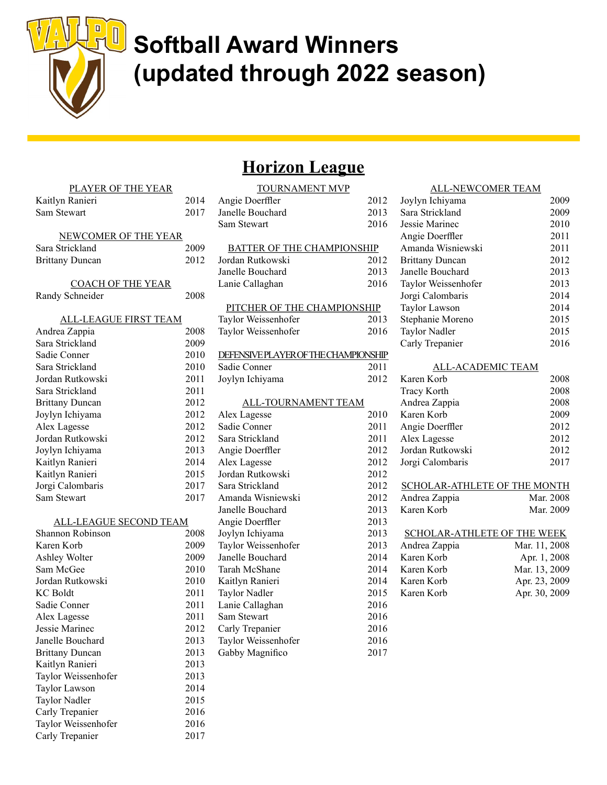

### Horizon League

# PLAYER OF THE YEAR Kaitlyn Ranieri 2014 Sam Stewart 2017 NEWCOMER OF THE YEAR COACH OF THE YEAR ALL-LEAGUE FIRST TEAM ALL-LEAGUE SECOND TEAM

| Sara Strickland               | 2009 |
|-------------------------------|------|
| <b>Brittany Duncan</b>        | 2012 |
|                               |      |
| <b>COACH OF THE YEAR</b>      |      |
| Randy Schneider               | 2008 |
|                               |      |
| <b>ALL-LEAGUE FIRST TEAM</b>  |      |
| Andrea Zappia                 | 2008 |
| Sara Strickland               | 2009 |
| Sadie Conner                  | 2010 |
| Sara Strickland               | 2010 |
| Jordan Rutkowski              | 2011 |
| Sara Strickland               | 2011 |
| <b>Brittany Duncan</b>        | 2012 |
| Joylyn Ichiyama               | 2012 |
| Alex Lagesse                  | 2012 |
| Jordan Rutkowski              | 2012 |
| Joylyn Ichiyama               | 2013 |
| Kaitlyn Ranieri               | 2014 |
| Kaitlyn Ranieri               | 2015 |
| Jorgi Calombaris              | 2017 |
| Sam Stewart                   | 2017 |
|                               |      |
| <b>ALL-LEAGUE SECOND TEAM</b> |      |
| Shannon Robinson              | 2008 |
| Karen Korb                    | 2009 |
| Ashley Wolter                 | 2009 |
| Sam McGee                     | 2010 |
| Jordan Rutkowski              | 2010 |
| <b>KC</b> Boldt               | 2011 |
| Sadie Conner                  | 2011 |
| Alex Lagesse                  | 2011 |
| Jessie Marinec                | 2012 |
| Janelle Bouchard              | 2013 |
| <b>Brittany Duncan</b>        | 2013 |
| Kaitlyn Ranieri               | 2013 |
| Taylor Weissenhofer           | 2013 |
| Taylor Lawson                 | 2014 |
| Taylor Nadler                 | 2015 |
| Carly Trepanier               | 2016 |
| Taylor Weissenhofer           | 2016 |
| Carly Trepanier               | 2017 |
|                               |      |
|                               |      |

### TOURNAMENT MVP

|      | 100NN LOUD NA 1920 |
|------|--------------------|
| 2012 | Angie Doerffler    |
| 2013 | Janelle Bouchard   |
| 2016 | Sam Stewart        |
|      |                    |

### BATTER OF THE CHAMPIONSHIP

| Jordan Rutkowski | 2012 |
|------------------|------|
| Janelle Bouchard | 2013 |
| Lanie Callaghan  | 2016 |

### PITCHER OF THE CHAMPIONSHIP

| Taylor Weissenhofer | 2013 |
|---------------------|------|
| Taylor Weissenhofer | 2016 |

#### DEFENSIVE PLAYER OF THE CHAMPIONSHIP

| Sadie Conner    | 2011 |
|-----------------|------|
| Joylyn Ichiyama | 2012 |

#### ALL-TOURNAMENT TEAM

| Alex Lagesse        | 2010 |
|---------------------|------|
| Sadie Conner        | 2011 |
| Sara Strickland     | 2011 |
| Angie Doerffler     | 2012 |
| Alex Lagesse        | 2012 |
| Jordan Rutkowski    | 2012 |
| Sara Strickland     | 2012 |
| Amanda Wisniewski   | 2012 |
| Janelle Bouchard    | 2013 |
| Angie Doerffler     | 2013 |
| Joylyn Ichiyama     | 2013 |
| Taylor Weissenhofer | 2013 |
| Janelle Bouchard    | 2014 |
| Tarah McShane       | 2014 |
| Kaitlyn Ranieri     | 2014 |
| Taylor Nadler       | 2015 |
| Lanie Callaghan     | 2016 |
| Sam Stewart         | 2016 |
| Carly Trepanier     | 2016 |
| Taylor Weissenhofer | 2016 |
| Gabby Magnifico     | 2017 |
|                     |      |
|                     |      |

### ALL-NEWCOMER TEAM Joylyn Ichiyama 2009 Sara Strickland 2009 Jessie Marinec 2010 Angie Doerffler 2011 Amanda Wisniewski 2011 Brittany Duncan 2012 Janelle Bouchard 2013 Taylor Weissenhofer 2013 Jorgi Calombaris 2014 Taylor Lawson 2014 Stephanie Moreno 2015 Taylor Nadler 2015 Carly Trepanier 2016

#### ALL-ACADEMIC TEAM

| Karen Korb                   | 2008          |
|------------------------------|---------------|
| Tracy Korth                  | 2008          |
| Andrea Zappia                | 2008          |
| Karen Korb                   | 2009          |
| Angie Doerffler              | 2012          |
| Alex Lagesse                 | 2012          |
| Jordan Rutkowski             | 2012          |
| Jorgi Calombaris             | 2017          |
|                              |               |
| SCHOLAR-ATHLETE OF THE MONTH |               |
| Andrea Zappia                | Mar. 2008     |
| Karen Korb                   | Mar. 2009     |
|                              |               |
| SCHOLAR-ATHLETE OF THE WEEK  |               |
| Andrea Zappia                | Mar. 11, 2008 |
| Karen Korb                   | Apr. 1, 2008  |
| Karen Korb                   | Mar. 13, 2009 |
| Karen Korb                   | Apr. 23, 2009 |
| Karen Korb                   | Apr. 30, 2009 |
|                              |               |
|                              |               |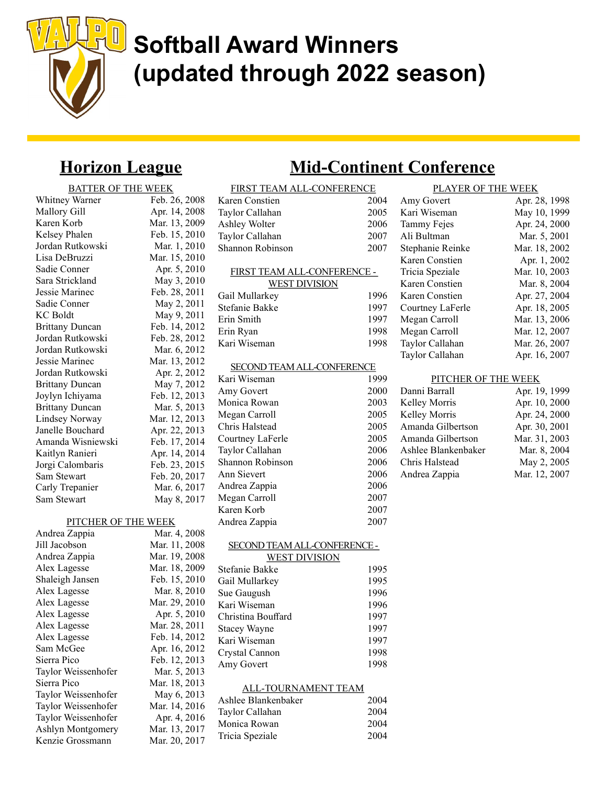

### Horizon League

### BATTER OF THE WEEK

| Whitney Warner         | Feb. 26, 2008 |
|------------------------|---------------|
| Mallory Gill           | Apr. 14, 2008 |
| Karen Korb             | Mar. 13, 2009 |
| Kelsey Phalen          | Feb. 15, 2010 |
| Jordan Rutkowski       | Mar. 1, 2010  |
| Lisa DeBruzzi          | Mar. 15, 2010 |
| Sadie Conner           | Apr. 5, 2010  |
| Sara Strickland        | May 3, 2010   |
| Jessie Marinec         | Feb. 28, 2011 |
| Sadie Conner           | May 2, 2011   |
| <b>KC</b> Boldt        | May 9, 2011   |
| <b>Brittany Duncan</b> | Feb. 14, 2012 |
| Jordan Rutkowski       | Feb. 28, 2012 |
| Jordan Rutkowski       | Mar. 6, 2012  |
| Jessie Marinec         | Mar. 13, 2012 |
| Jordan Rutkowski       | Apr. 2, 2012  |
| <b>Brittany Duncan</b> | May 7, 2012   |
| Joylyn Ichiyama        | Feb. 12, 2013 |
| <b>Brittany Duncan</b> | Mar. 5, 2013  |
| <b>Lindsey Norway</b>  | Mar. 12, 2013 |
| Janelle Bouchard       | Apr. 22, 2013 |
| Amanda Wisniewski      | Feb. 17, 2014 |
| Kaitlyn Ranieri        | Apr. 14, 2014 |
| Jorgi Calombaris       | Feb. 23, 2015 |
| Sam Stewart            | Feb. 20, 2017 |
| Carly Trepanier        | Mar. 6, 2017  |
| Sam Stewart            | May 8, 2017   |
|                        |               |

Ashlyn Montgomery Mar. 13, 2017 Kenzie Grossmann Mar. 20, 2017

### ar. 15, 2010 Apr. 5, 2010 Aay 3, 2010 eb. 28, 2011 Aay 2, 2011 May 9, 2011 b. 14, 2012  $b. 28, 2012$ Aar. 6, 2012 ar. 13, 2012 Apr. 2, 2012 Aay 7, 2012 b. 12, 2013: Aar. 5, 2013 ar. 12, 2013 pr. 22, 2013 eb. 17, 2014 pr. 14, 2014 b. 23, 2015  $B. 20, 2017$ Aar. 6, 2017 Aay 8, 2017

#### Andrea Zappia 2007 SECOND TEAM ALL-CONFERENCE - WEST DIVISION Stefanie Bakke 1995 Gail Mullarkey 1995 Sue Gaugush 1996 Kari Wiseman 1996 Christina Bouffard 1997 Stacey Wayne 1997 Kari Wiseman 1997 Crystal Cannon 1998 Amy Govert 1998 ALL-TOURNAMENT TEAM Ashlee Blankenbaker 2004 Taylor Callahan 2004 Monica Rowan 2004 PITCHER OF THE WEEK Andrea Zappia Mar. 4, 2008 Jill Jacobson Mar. 11, 2008 Andrea Zappia Mar. 19, 2008 Alex Lagesse Mar. 18, 2009 Shaleigh Jansen Feb. 15, 2010 Alex Lagesse Mar. 8, 2010 Alex Lagesse Mar. 29, 2010 Alex Lagesse Apr. 5, 2010 Alex Lagesse Mar. 28, 2011 Alex Lagesse Feb. 14, 2012 Sam McGee Apr. 16, 2012<br>Sierra Pico Feb. 12, 2013 Feb. 12, 2013 Taylor Weissenhofer Mar. 5, 2013 Sierra Pico Mar. 18, 2013 Taylor Weissenhofer May 6, 2013 Taylor Weissenhofer Mar. 14, 2016 Taylor Weissenhofer Apr. 4, 2016

### Mid-Continent Conference

| FIRST TEAM ALL-CONFERENCE         |      |
|-----------------------------------|------|
| Karen Constien                    | 2004 |
| Taylor Callahan                   | 2005 |
| Ashley Wolter                     | 2006 |
| Taylor Callahan                   | 2007 |
| Shannon Robinson                  | 2007 |
| FIRST TEAM ALL-CONFERENCE -       |      |
| <b>WEST DIVISION</b>              |      |
| Gail Mullarkey                    | 1996 |
| Stefanie Bakke                    | 1997 |
| Erin Smith                        | 1997 |
| Erin Ryan                         | 1998 |
| Kari Wiseman                      | 1998 |
|                                   |      |
| <b>SECOND TEAM ALL-CONFERENCE</b> |      |
| Kari Wiseman                      | 1999 |
| Amy Govert                        | 2000 |
| Monica Rowan                      | 2003 |
| Megan Carroll                     | 2005 |
| Chris Halstead                    | 2005 |
| Courtney LaFerle                  | 2005 |
| Taylor Callahan                   | 2006 |
| Shannon Robinson                  | 2006 |
| Ann Sievert                       | 2006 |
| Andrea Zappia                     | 2006 |
| Megan Carroll                     | 2007 |
| Karen Korb                        | 2007 |
| Andrea Zappia                     | 2007 |

Tricia Speziale 2004

| PLAYER OF THE WEEK |               |  |
|--------------------|---------------|--|
| Amy Govert         | Apr. 28, 1998 |  |
| Kari Wiseman       | May 10, 1999  |  |
| Tammy Fejes        | Apr. 24, 2000 |  |
| Ali Bultman        | Mar. 5, 2001  |  |
| Stephanie Reinke   | Mar. 18, 2002 |  |
| Karen Constien     | Apr. 1, 2002  |  |
| Tricia Speziale    | Mar. 10, 2003 |  |
| Karen Constien     | Mar. 8, 2004  |  |
| Karen Constien     | Apr. 27, 2004 |  |
| Courtney LaFerle   | Apr. 18, 2005 |  |
| Megan Carroll      | Mar. 13, 2006 |  |
| Megan Carroll      | Mar. 12, 2007 |  |
| Taylor Callahan    | Mar. 26, 2007 |  |
| Taylor Callahan    | Apr. 16, 2007 |  |

### PITCHER OF THE WEEK

| Danni Barrall       | Apr. 19, 1999 |
|---------------------|---------------|
| Kelley Morris       | Apr. 10, 2000 |
| Kelley Morris       | Apr. 24, 2000 |
| Amanda Gilbertson   | Apr. 30, 2001 |
| Amanda Gilbertson   | Mar. 31, 2003 |
| Ashlee Blankenbaker | Mar. 8, 2004  |
| Chris Halstead      | May 2, 2005   |
| Andrea Zappia       | Mar. 12, 2007 |
|                     |               |